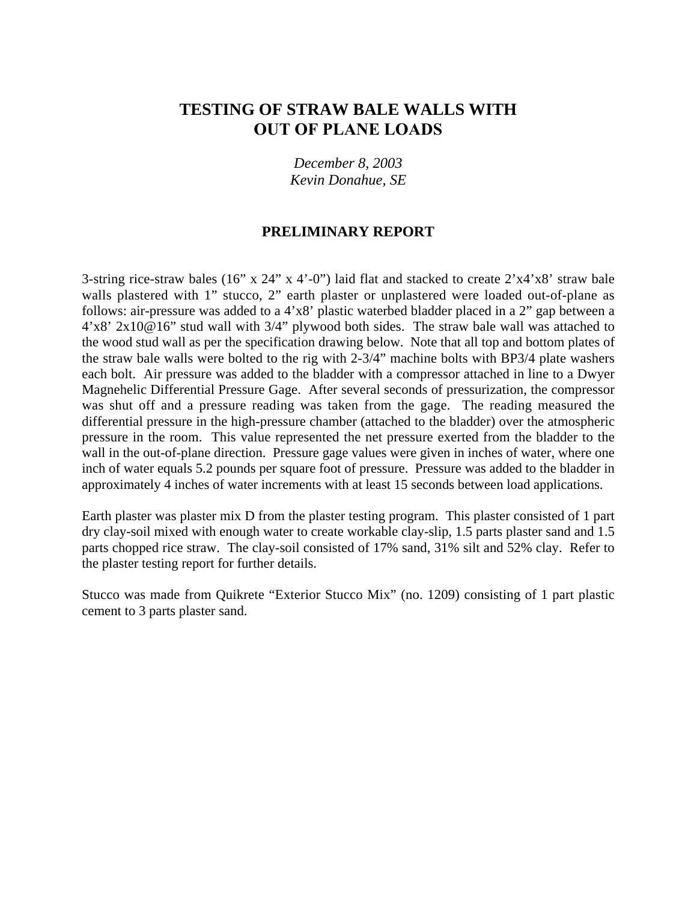# **TESTING OF STRAW BALE WALLS WITH OUT OF PLANE LOADS**

*December 8, 2003 Kevin Donahue, SE*

#### **PRELIMINARY REPORT**

3-string rice-straw bales (16" x 24" x 4'-0") laid flat and stacked to create 2'x4'x8' straw bale walls plastered with 1" stucco, 2" earth plaster or unplastered were loaded out-of-plane as follows: air-pressure was added to a 4'x8' plastic waterbed bladder placed in a 2" gap between a 4'x8' 2x10@16" stud wall with 3/4" plywood both sides. The straw bale wall was attached to the wood stud wall as per the specification drawing below. Note that all top and bottom plates of the straw bale walls were bolted to the rig with 2-3/4" machine bolts with BP3/4 plate washers each bolt. Air pressure was added to the bladder with a compressor attached in line to a Dwyer Magnehelic Differential Pressure Gage. After several seconds of pressurization, the compressor was shut off and a pressure reading was taken from the gage. The reading measured the differential pressure in the high-pressure chamber (attached to the bladder) over the atmospheric pressure in the room. This value represented the net pressure exerted from the bladder to the wall in the out-of-plane direction. Pressure gage values were given in inches of water, where one inch of water equals 5.2 pounds per square foot of pressure. Pressure was added to the bladder in approximately 4 inches of water increments with at least 15 seconds between load applications.

Earth plaster was plaster mix D from the plaster testing program. This plaster consisted of 1 part dry clay-soil mixed with enough water to create workable clay-slip, 1.5 parts plaster sand and 1.5 parts chopped rice straw. The clay-soil consisted of 17% sand, 31% silt and 52% clay. Refer to the plaster testing report for further details.

Stucco was made from Quikrete "Exterior Stucco Mix" (no. 1209) consisting of 1 part plastic cement to 3 parts plaster sand.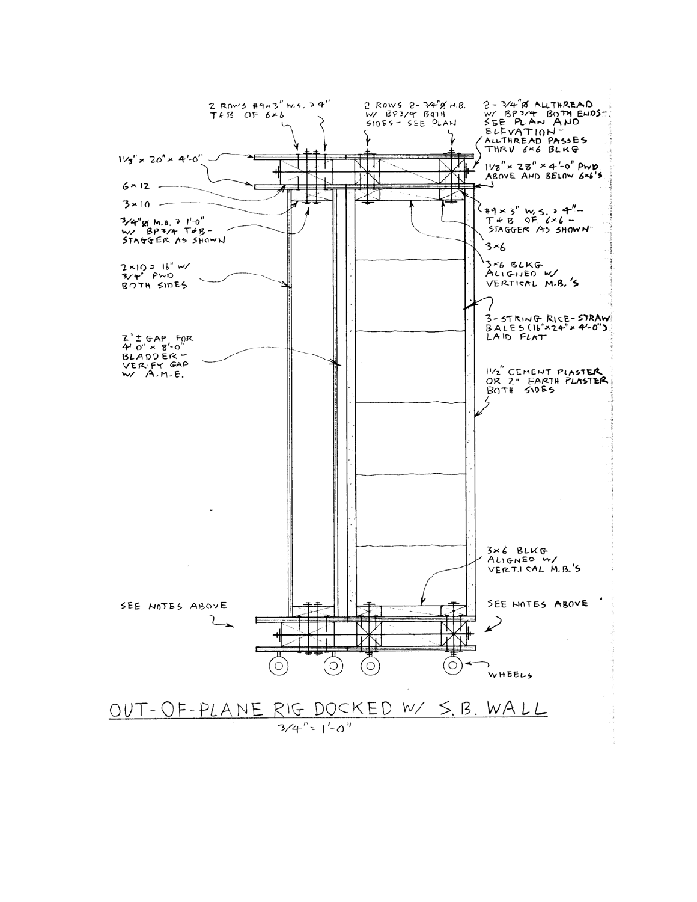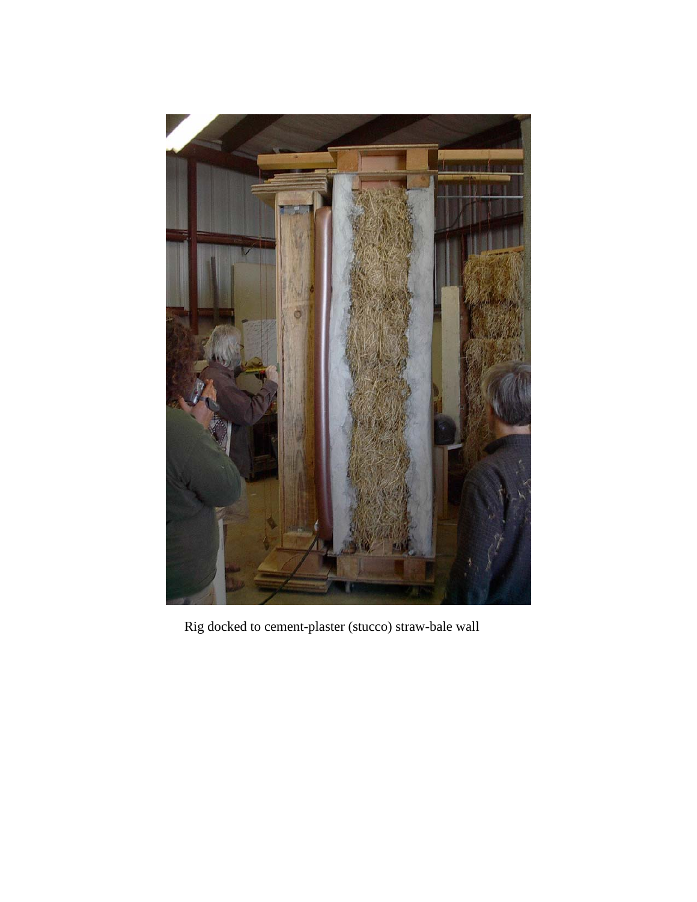

Rig docked to cement-plaster (stucco) straw-bale wall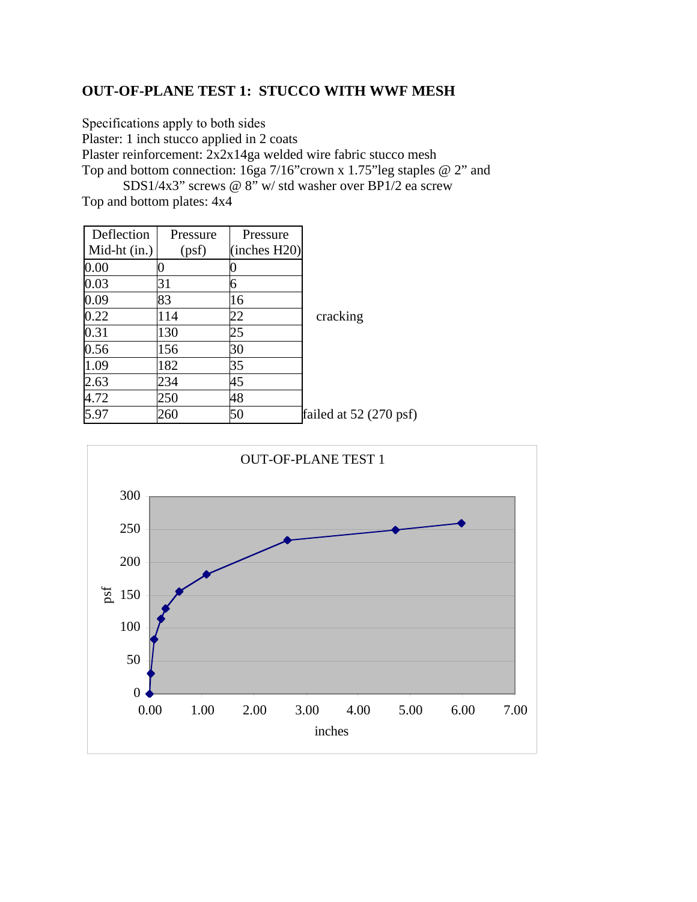# **OUT-OF-PLANE TEST 1: STUCCO WITH WWF MESH**

Specifications apply to both sides Plaster: 1 inch stucco applied in 2 coats Plaster reinforcement: 2x2x14ga welded wire fabric stucco mesh Top and bottom connection: 16ga 7/16"crown x 1.75"leg staples @ 2" and SDS1/4x3" screws @ 8" w/ std washer over BP1/2 ea screw

Top and bottom plates: 4x4

| Deflection   | Pressure | Pressure     |                                 |
|--------------|----------|--------------|---------------------------------|
| Mid-ht (in.) | (psf)    | (inches H20) |                                 |
| $0.00\,$     |          |              |                                 |
| 0.03         | 31       | 6            |                                 |
| 0.09         | 83       | 16           |                                 |
| 0.22         | 114      | 22           | cracking                        |
| 0.31         | 130      | 25           |                                 |
| 0.56         | 156      | 30           |                                 |
| 1.09         | 182      | 35           |                                 |
| 2.63         | 234      | 45           |                                 |
| 4.72         | 250      | 48           |                                 |
| 5.97         | 260      | 50           | failed at $52(270 \text{ psf})$ |

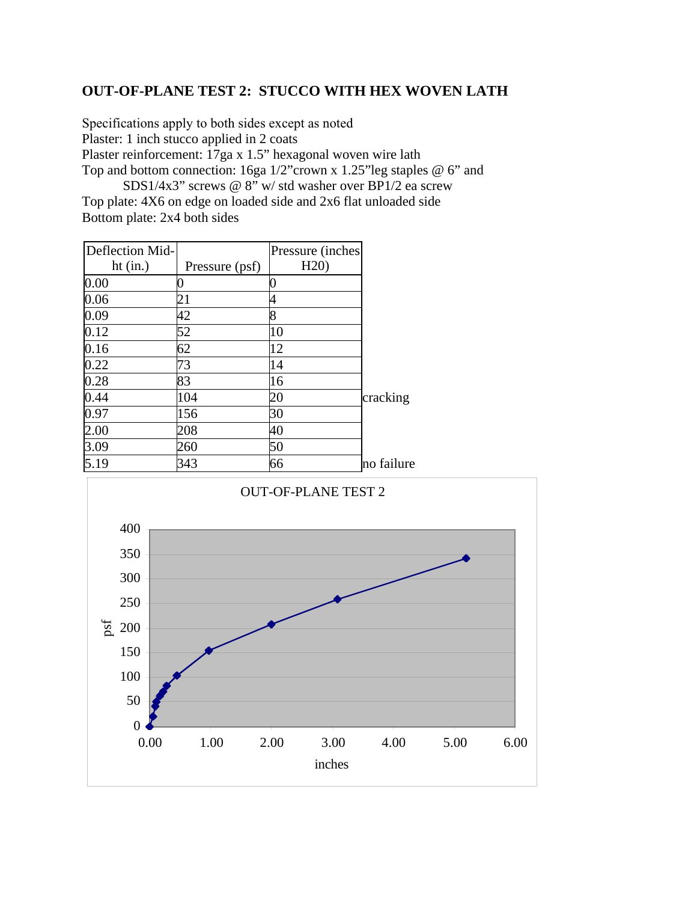### **OUT-OF-PLANE TEST 2: STUCCO WITH HEX WOVEN LATH**

Specifications apply to both sides except as noted Plaster: 1 inch stucco applied in 2 coats Plaster reinforcement: 17ga x 1.5" hexagonal woven wire lath Top and bottom connection: 16ga 1/2"crown x 1.25"leg staples @ 6" and SDS1/4x3" screws @ 8" w/ std washer over BP1/2 ea screw

Top plate: 4X6 on edge on loaded side and 2x6 flat unloaded side Bottom plate: 2x4 both sides

| Deflection Mid- |                | Pressure (inches) |            |
|-----------------|----------------|-------------------|------------|
| ht $(in.)$      | Pressure (psf) | H20               |            |
| 0.00            |                |                   |            |
| 0.06            | 21             |                   |            |
| 0.09            | 42             | 8                 |            |
| 0.12            | 52             | 10                |            |
| 0.16            | 62             | 12                |            |
| 0.22            | 73             | 14                |            |
| 0.28            | 83             | 16                |            |
| 0.44            | 104            | 20                | cracking   |
| 0.97            | 156            | 30                |            |
| 2.00            | 208            | 40                |            |
| 3.09            | 260            | 50                |            |
| 5.19            | 343            | 66                | no failure |

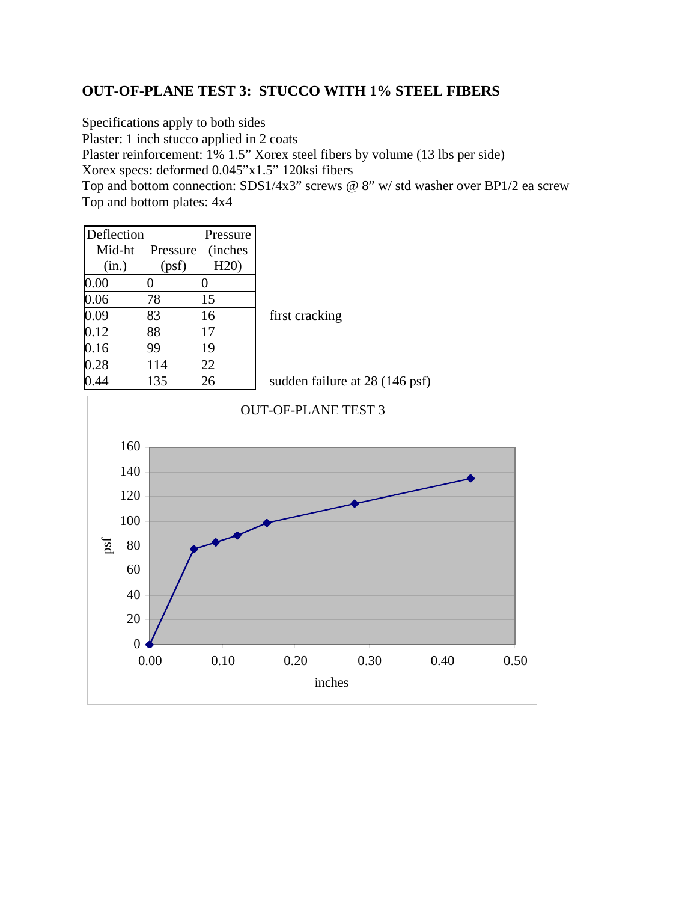# **OUT-OF-PLANE TEST 3: STUCCO WITH 1% STEEL FIBERS**

Specifications apply to both sides Plaster: 1 inch stucco applied in 2 coats Plaster reinforcement: 1% 1.5" Xorex steel fibers by volume (13 lbs per side) Xorex specs: deformed 0.045"x1.5" 120ksi fibers Top and bottom connection: SDS1/4x3" screws @ 8" w/ std washer over BP1/2 ea screw Top and bottom plates: 4x4

| <b>Deflection</b> |           | Pressure        |                                |
|-------------------|-----------|-----------------|--------------------------------|
| Mid-ht            | Pressure  | <i>(inches)</i> |                                |
| (in.)             | (psf)     | H20             |                                |
| 0.00              |           |                 |                                |
| 0.06              | 78        | 15              |                                |
| 0.09              | 83        | 16              | first cracking                 |
| 0.12              | 88        | 17              |                                |
| 0.16              | 99        | 19              |                                |
| 0.28              | <b>14</b> | 22              |                                |
|                   | 135       | 26              | sudden failure at 28 (146 psf) |

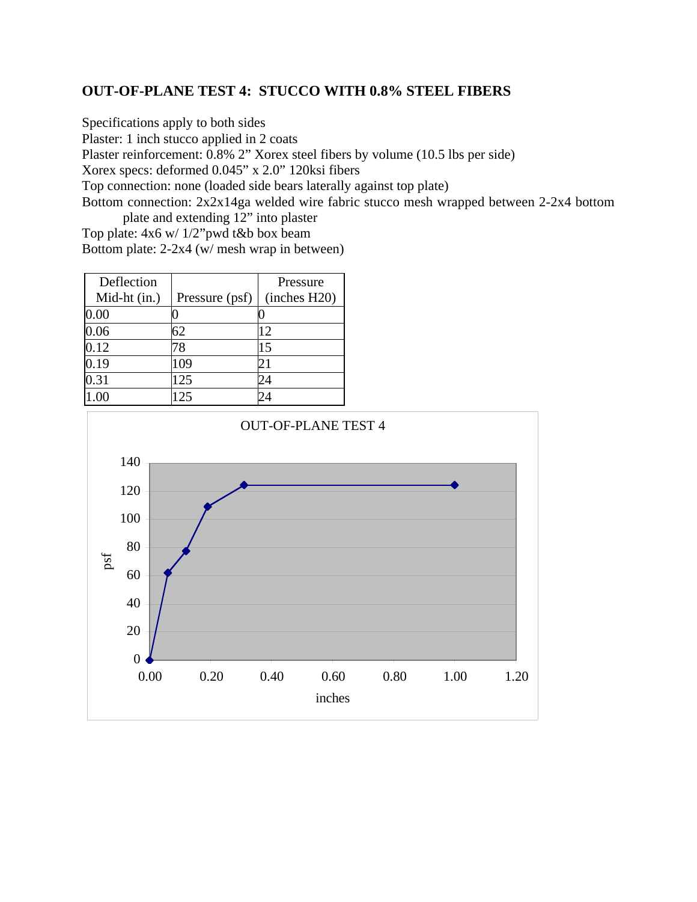### **OUT-OF-PLANE TEST 4: STUCCO WITH 0.8% STEEL FIBERS**

Specifications apply to both sides

Plaster: 1 inch stucco applied in 2 coats

Plaster reinforcement: 0.8% 2" Xorex steel fibers by volume (10.5 lbs per side)

Xorex specs: deformed 0.045" x 2.0" 120ksi fibers

Top connection: none (loaded side bears laterally against top plate)

Bottom connection: 2x2x14ga welded wire fabric stucco mesh wrapped between 2-2x4 bottom plate and extending 12" into plaster

Top plate: 4x6 w/ 1/2"pwd t&b box beam Bottom plate: 2-2x4 (w/ mesh wrap in between)

| Deflection   |                | Pressure     |
|--------------|----------------|--------------|
| Mid-ht (in.) | Pressure (psf) | (inches H20) |
| $0.00\,$     |                |              |
| 0.06         | 62             | 12           |
| 0.12         | 78             | 15           |
| 0.19         | 109            | 21           |
| 0.31         | 125            | 24           |
|              | 25             |              |

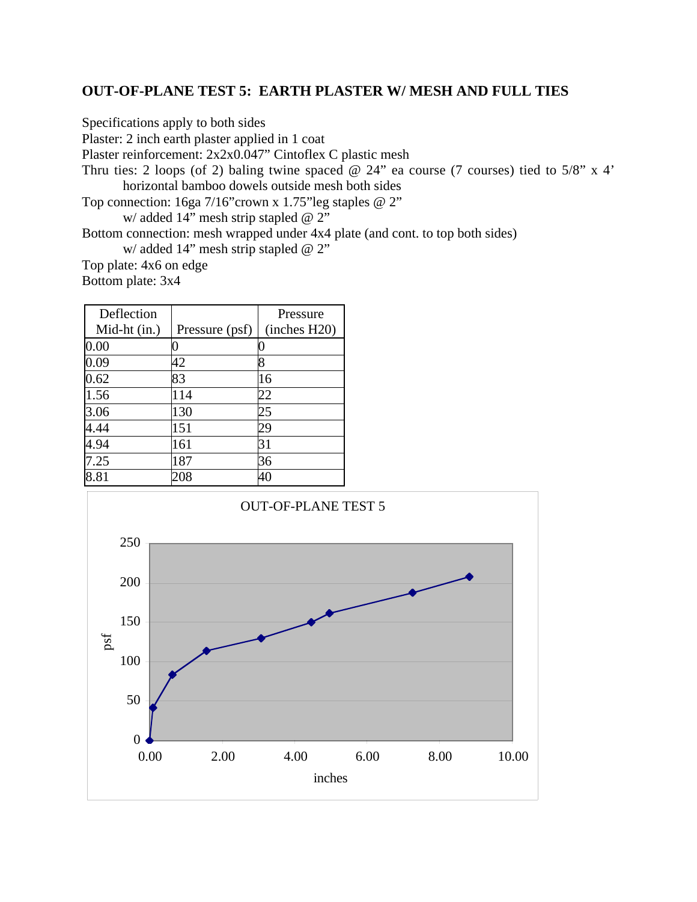### **OUT-OF-PLANE TEST 5: EARTH PLASTER W/ MESH AND FULL TIES**

Specifications apply to both sides

Plaster: 2 inch earth plaster applied in 1 coat

Plaster reinforcement: 2x2x0.047" Cintoflex C plastic mesh

Thru ties: 2 loops (of 2) baling twine spaced @ 24" ea course (7 courses) tied to 5/8" x 4' horizontal bamboo dowels outside mesh both sides

Top connection: 16ga 7/16"crown x 1.75"leg staples @ 2"

w/ added 14" mesh strip stapled @ 2"

Bottom connection: mesh wrapped under 4x4 plate (and cont. to top both sides)

w/ added 14" mesh strip stapled @ 2"

Top plate: 4x6 on edge

Bottom plate: 3x4

| Deflection   |                | Pressure     |
|--------------|----------------|--------------|
| Mid-ht (in.) | Pressure (psf) | (inches H20) |
| $0.00\,$     |                |              |
| 0.09         | 42             |              |
| 0.62         | 83             | 16           |
| 1.56         | 114            | 22           |
| 3.06         | 130            | 25           |
| 4.44         | 151            | 29           |
| 4.94         | 161            | 31           |
| 7.25         | 187            | 36           |
| 8.81         | 208            | 40           |

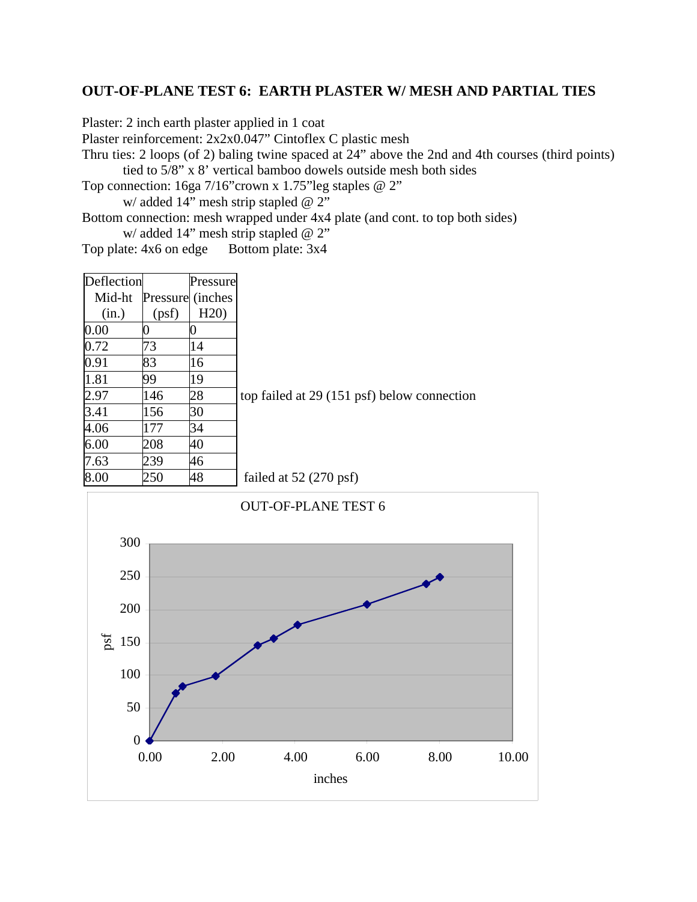### **OUT-OF-PLANE TEST 6: EARTH PLASTER W/ MESH AND PARTIAL TIES**

Plaster: 2 inch earth plaster applied in 1 coat

Plaster reinforcement: 2x2x0.047" Cintoflex C plastic mesh

Thru ties: 2 loops (of 2) baling twine spaced at 24" above the 2nd and 4th courses (third points) tied to 5/8" x 8' vertical bamboo dowels outside mesh both sides

Top connection: 16ga 7/16"crown x 1.75"leg staples @ 2"

w/ added 14" mesh strip stapled @ 2"

Bottom connection: mesh wrapped under 4x4 plate (and cont. to top both sides) w/ added 14" mesh strip stapled @ 2"

Top plate: 4x6 on edge Bottom plate: 3x4

| Deflection |                  | Pressure |                                             |
|------------|------------------|----------|---------------------------------------------|
| Mid-ht     | Pressure (inches |          |                                             |
| (in.)      | (psf)            | H20      |                                             |
| 0.00       |                  |          |                                             |
| 0.72       | 73               | 14       |                                             |
| 0.91       | 83               | 16       |                                             |
| 1.81       | 99               | 19       |                                             |
| 2.97       | 146              | 28       | top failed at 29 (151 psf) below connection |
| 3.41       | 156              | 30       |                                             |
| 4.06       | 177              | 34       |                                             |
| 6.00       | 208              | 40       |                                             |
| 7.63       | 239              | 46       |                                             |
| 8.00       | 250              | 48       | failed at $52(270 \text{ psf})$             |

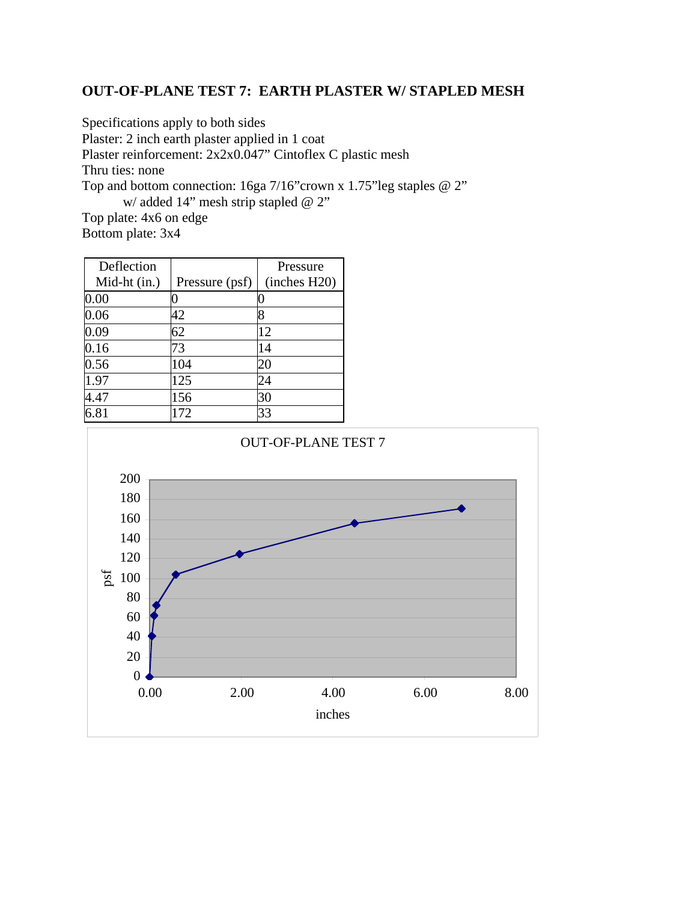# **OUT-OF-PLANE TEST 7: EARTH PLASTER W/ STAPLED MESH**

Specifications apply to both sides

Plaster: 2 inch earth plaster applied in 1 coat

Plaster reinforcement: 2x2x0.047" Cintoflex C plastic mesh

Thru ties: none

Top and bottom connection: 16ga 7/16"crown x 1.75"leg staples @ 2" w/ added 14" mesh strip stapled @ 2"

Top plate: 4x6 on edge Bottom plate: 3x4

| Deflection   |                | Pressure     |
|--------------|----------------|--------------|
| Mid-ht (in.) | Pressure (psf) | (inches H20) |
| 0.00         |                |              |
| 0.06         | 42             |              |
| 0.09         | 62             | 12           |
| 0.16         | 73             | 14           |
| 0.56         | 104            | 20           |
| 1.97         | 125            | 24           |
| 4.47         | 156            | 30           |
| 6.81         | 172            | 33           |